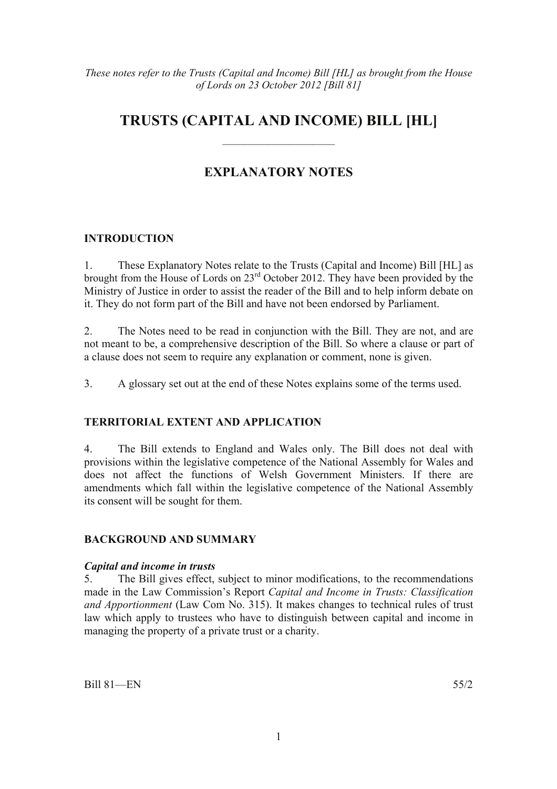## **TRUSTS (CAPITAL AND INCOME) BILL [HL]**

——————————

### **EXPLANATORY NOTES**

#### **INTRODUCTION**

1. These Explanatory Notes relate to the Trusts (Capital and Income) Bill [HL] as brought from the House of Lords on 23rd October 2012. They have been provided by the Ministry of Justice in order to assist the reader of the Bill and to help inform debate on it. They do not form part of the Bill and have not been endorsed by Parliament.

2. The Notes need to be read in conjunction with the Bill. They are not, and are not meant to be, a comprehensive description of the Bill. So where a clause or part of a clause does not seem to require any explanation or comment, none is given.

3. A glossary set out at the end of these Notes explains some of the terms used.

#### **TERRITORIAL EXTENT AND APPLICATION**

4. The Bill extends to England and Wales only. The Bill does not deal with provisions within the legislative competence of the National Assembly for Wales and does not affect the functions of Welsh Government Ministers. If there are amendments which fall within the legislative competence of the National Assembly its consent will be sought for them.

#### **BACKGROUND AND SUMMARY**

#### *Capital and income in trusts*

5. The Bill gives effect, subject to minor modifications, to the recommendations made in the Law Commission's Report *Capital and Income in Trusts: Classification and Apportionment* (Law Com No. 315). It makes changes to technical rules of trust law which apply to trustees who have to distinguish between capital and income in managing the property of a private trust or a charity.

Bill 81—EN 55/2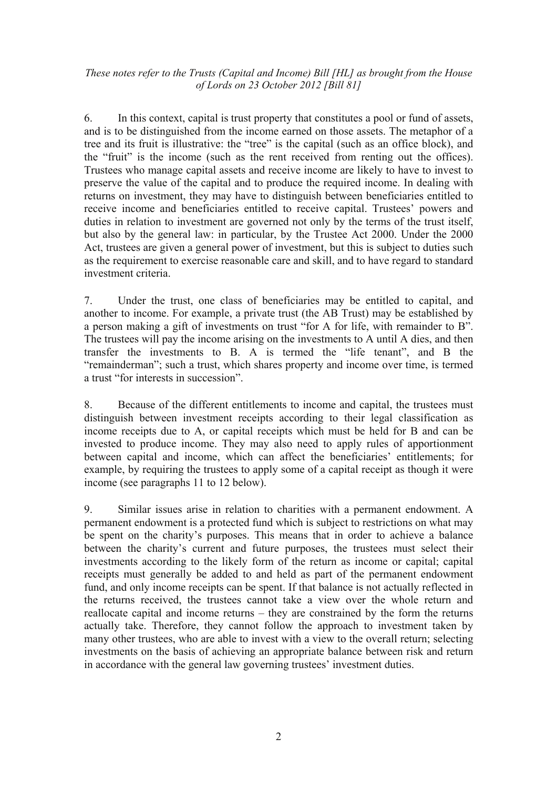6. In this context, capital is trust property that constitutes a pool or fund of assets, and is to be distinguished from the income earned on those assets. The metaphor of a tree and its fruit is illustrative: the "tree" is the capital (such as an office block), and the "fruit" is the income (such as the rent received from renting out the offices). Trustees who manage capital assets and receive income are likely to have to invest to preserve the value of the capital and to produce the required income. In dealing with returns on investment, they may have to distinguish between beneficiaries entitled to receive income and beneficiaries entitled to receive capital. Trustees' powers and duties in relation to investment are governed not only by the terms of the trust itself, but also by the general law: in particular, by the Trustee Act 2000. Under the 2000 Act, trustees are given a general power of investment, but this is subject to duties such as the requirement to exercise reasonable care and skill, and to have regard to standard investment criteria.

7. Under the trust, one class of beneficiaries may be entitled to capital, and another to income. For example, a private trust (the AB Trust) may be established by a person making a gift of investments on trust "for A for life, with remainder to B". The trustees will pay the income arising on the investments to A until A dies, and then transfer the investments to B. A is termed the "life tenant", and B the "remainderman"; such a trust, which shares property and income over time, is termed a trust "for interests in succession".

8. Because of the different entitlements to income and capital, the trustees must distinguish between investment receipts according to their legal classification as income receipts due to A, or capital receipts which must be held for B and can be invested to produce income. They may also need to apply rules of apportionment between capital and income, which can affect the beneficiaries' entitlements; for example, by requiring the trustees to apply some of a capital receipt as though it were income (see paragraphs 11 to 12 below).

9. Similar issues arise in relation to charities with a permanent endowment. A permanent endowment is a protected fund which is subject to restrictions on what may be spent on the charity's purposes. This means that in order to achieve a balance between the charity's current and future purposes, the trustees must select their investments according to the likely form of the return as income or capital; capital receipts must generally be added to and held as part of the permanent endowment fund, and only income receipts can be spent. If that balance is not actually reflected in the returns received, the trustees cannot take a view over the whole return and reallocate capital and income returns – they are constrained by the form the returns actually take. Therefore, they cannot follow the approach to investment taken by many other trustees, who are able to invest with a view to the overall return; selecting investments on the basis of achieving an appropriate balance between risk and return in accordance with the general law governing trustees' investment duties.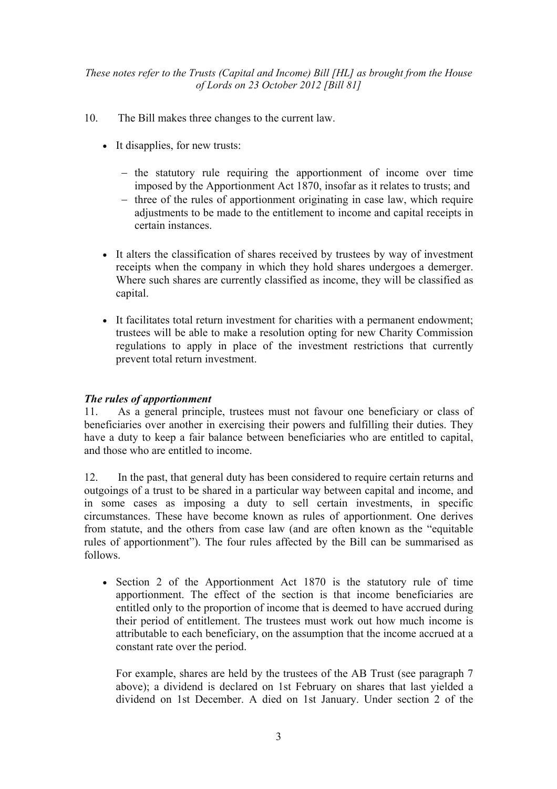- 10. The Bill makes three changes to the current law.
	- It disapplies, for new trusts:
		- − the statutory rule requiring the apportionment of income over time imposed by the Apportionment Act 1870, insofar as it relates to trusts; and
		- − three of the rules of apportionment originating in case law, which require adjustments to be made to the entitlement to income and capital receipts in certain instances.
	- It alters the classification of shares received by trustees by way of investment receipts when the company in which they hold shares undergoes a demerger. Where such shares are currently classified as income, they will be classified as capital.
	- It facilitates total return investment for charities with a permanent endowment; trustees will be able to make a resolution opting for new Charity Commission regulations to apply in place of the investment restrictions that currently prevent total return investment.

#### *The rules of apportionment*

11. As a general principle, trustees must not favour one beneficiary or class of beneficiaries over another in exercising their powers and fulfilling their duties. They have a duty to keep a fair balance between beneficiaries who are entitled to capital, and those who are entitled to income.

12. In the past, that general duty has been considered to require certain returns and outgoings of a trust to be shared in a particular way between capital and income, and in some cases as imposing a duty to sell certain investments, in specific circumstances. These have become known as rules of apportionment. One derives from statute, and the others from case law (and are often known as the "equitable rules of apportionment"). The four rules affected by the Bill can be summarised as follows.

• Section 2 of the Apportionment Act 1870 is the statutory rule of time apportionment. The effect of the section is that income beneficiaries are entitled only to the proportion of income that is deemed to have accrued during their period of entitlement. The trustees must work out how much income is attributable to each beneficiary, on the assumption that the income accrued at a constant rate over the period.

For example, shares are held by the trustees of the AB Trust (see paragraph 7 above); a dividend is declared on 1st February on shares that last yielded a dividend on 1st December. A died on 1st January. Under section 2 of the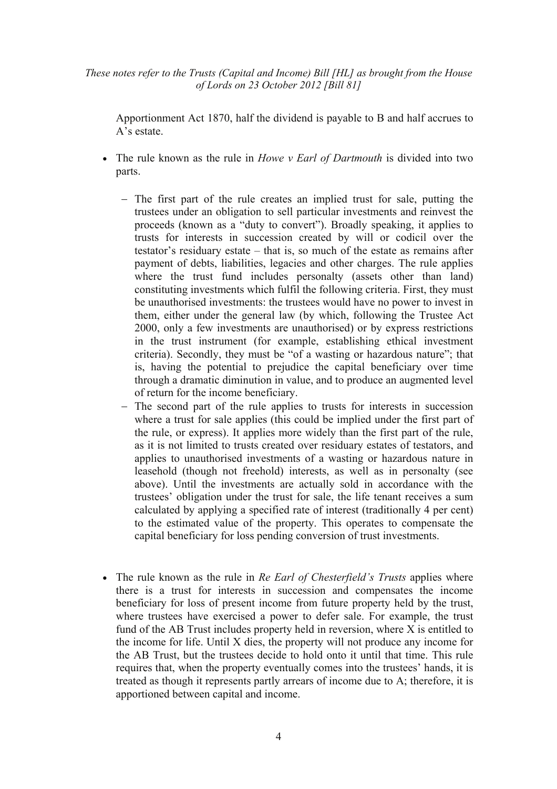Apportionment Act 1870, half the dividend is payable to B and half accrues to A's estate.

- The rule known as the rule in *Howe v Earl of Dartmouth* is divided into two parts.
	- − The first part of the rule creates an implied trust for sale, putting the trustees under an obligation to sell particular investments and reinvest the proceeds (known as a "duty to convert"). Broadly speaking, it applies to trusts for interests in succession created by will or codicil over the testator's residuary estate – that is, so much of the estate as remains after payment of debts, liabilities, legacies and other charges. The rule applies where the trust fund includes personalty (assets other than land) constituting investments which fulfil the following criteria. First, they must be unauthorised investments: the trustees would have no power to invest in them, either under the general law (by which, following the Trustee Act 2000, only a few investments are unauthorised) or by express restrictions in the trust instrument (for example, establishing ethical investment criteria). Secondly, they must be "of a wasting or hazardous nature"; that is, having the potential to prejudice the capital beneficiary over time through a dramatic diminution in value, and to produce an augmented level of return for the income beneficiary.
	- − The second part of the rule applies to trusts for interests in succession where a trust for sale applies (this could be implied under the first part of the rule, or express). It applies more widely than the first part of the rule, as it is not limited to trusts created over residuary estates of testators, and applies to unauthorised investments of a wasting or hazardous nature in leasehold (though not freehold) interests, as well as in personalty (see above). Until the investments are actually sold in accordance with the trustees' obligation under the trust for sale, the life tenant receives a sum calculated by applying a specified rate of interest (traditionally 4 per cent) to the estimated value of the property. This operates to compensate the capital beneficiary for loss pending conversion of trust investments.
- The rule known as the rule in *Re Earl of Chesterfield's Trusts* applies where there is a trust for interests in succession and compensates the income beneficiary for loss of present income from future property held by the trust, where trustees have exercised a power to defer sale. For example, the trust fund of the AB Trust includes property held in reversion, where X is entitled to the income for life. Until X dies, the property will not produce any income for the AB Trust, but the trustees decide to hold onto it until that time. This rule requires that, when the property eventually comes into the trustees' hands, it is treated as though it represents partly arrears of income due to A; therefore, it is apportioned between capital and income.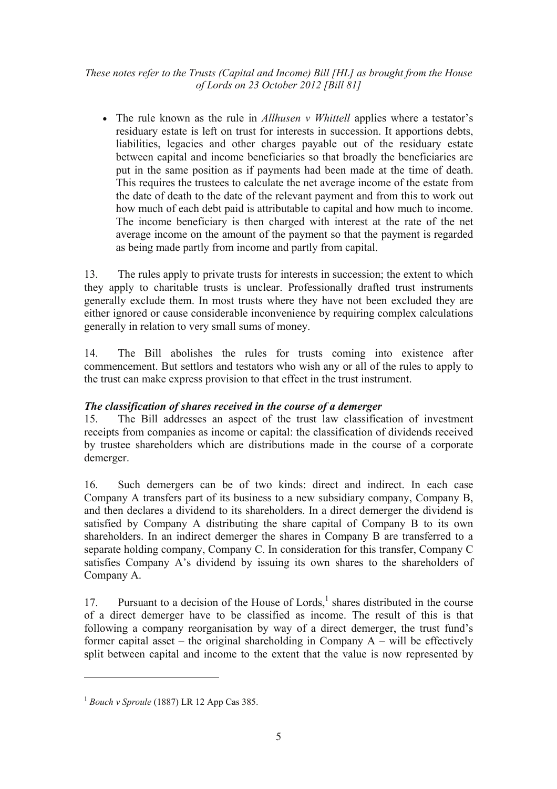• The rule known as the rule in *Allhusen v Whittell* applies where a testator's residuary estate is left on trust for interests in succession. It apportions debts, liabilities, legacies and other charges payable out of the residuary estate between capital and income beneficiaries so that broadly the beneficiaries are put in the same position as if payments had been made at the time of death. This requires the trustees to calculate the net average income of the estate from the date of death to the date of the relevant payment and from this to work out how much of each debt paid is attributable to capital and how much to income. The income beneficiary is then charged with interest at the rate of the net average income on the amount of the payment so that the payment is regarded as being made partly from income and partly from capital.

13. The rules apply to private trusts for interests in succession; the extent to which they apply to charitable trusts is unclear. Professionally drafted trust instruments generally exclude them. In most trusts where they have not been excluded they are either ignored or cause considerable inconvenience by requiring complex calculations generally in relation to very small sums of money.

14. The Bill abolishes the rules for trusts coming into existence after commencement. But settlors and testators who wish any or all of the rules to apply to the trust can make express provision to that effect in the trust instrument.

#### *The classification of shares received in the course of a demerger*

15. The Bill addresses an aspect of the trust law classification of investment receipts from companies as income or capital: the classification of dividends received by trustee shareholders which are distributions made in the course of a corporate demerger.

16. Such demergers can be of two kinds: direct and indirect. In each case Company A transfers part of its business to a new subsidiary company, Company B, and then declares a dividend to its shareholders. In a direct demerger the dividend is satisfied by Company A distributing the share capital of Company B to its own shareholders. In an indirect demerger the shares in Company B are transferred to a separate holding company, Company C. In consideration for this transfer, Company C satisfies Company A's dividend by issuing its own shares to the shareholders of Company A.

17. Pursuant to a decision of the House of Lords, $<sup>1</sup>$  shares distributed in the course</sup> of a direct demerger have to be classified as income. The result of this is that following a company reorganisation by way of a direct demerger, the trust fund's former capital asset – the original shareholding in Company  $A$  – will be effectively split between capital and income to the extent that the value is now represented by

 $\overline{a}$ 

<sup>1</sup> *Bouch v Sproule* (1887) LR 12 App Cas 385.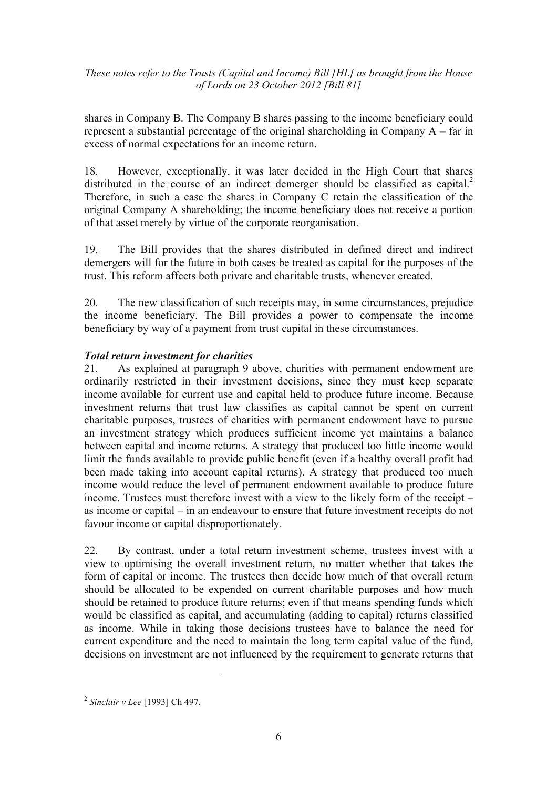shares in Company B. The Company B shares passing to the income beneficiary could represent a substantial percentage of the original shareholding in Company A – far in excess of normal expectations for an income return.

18. However, exceptionally, it was later decided in the High Court that shares distributed in the course of an indirect demerger should be classified as capital.<sup>2</sup> Therefore, in such a case the shares in Company C retain the classification of the original Company A shareholding; the income beneficiary does not receive a portion of that asset merely by virtue of the corporate reorganisation.

19. The Bill provides that the shares distributed in defined direct and indirect demergers will for the future in both cases be treated as capital for the purposes of the trust. This reform affects both private and charitable trusts, whenever created.

20. The new classification of such receipts may, in some circumstances, prejudice the income beneficiary. The Bill provides a power to compensate the income beneficiary by way of a payment from trust capital in these circumstances.

#### *Total return investment for charities*

21. As explained at paragraph 9 above, charities with permanent endowment are ordinarily restricted in their investment decisions, since they must keep separate income available for current use and capital held to produce future income. Because investment returns that trust law classifies as capital cannot be spent on current charitable purposes, trustees of charities with permanent endowment have to pursue an investment strategy which produces sufficient income yet maintains a balance between capital and income returns. A strategy that produced too little income would limit the funds available to provide public benefit (even if a healthy overall profit had been made taking into account capital returns). A strategy that produced too much income would reduce the level of permanent endowment available to produce future income. Trustees must therefore invest with a view to the likely form of the receipt – as income or capital – in an endeavour to ensure that future investment receipts do not favour income or capital disproportionately.

22. By contrast, under a total return investment scheme, trustees invest with a view to optimising the overall investment return, no matter whether that takes the form of capital or income. The trustees then decide how much of that overall return should be allocated to be expended on current charitable purposes and how much should be retained to produce future returns; even if that means spending funds which would be classified as capital, and accumulating (adding to capital) returns classified as income. While in taking those decisions trustees have to balance the need for current expenditure and the need to maintain the long term capital value of the fund, decisions on investment are not influenced by the requirement to generate returns that

 $\overline{a}$ 

<sup>2</sup> *Sinclair v Lee* [1993] Ch 497.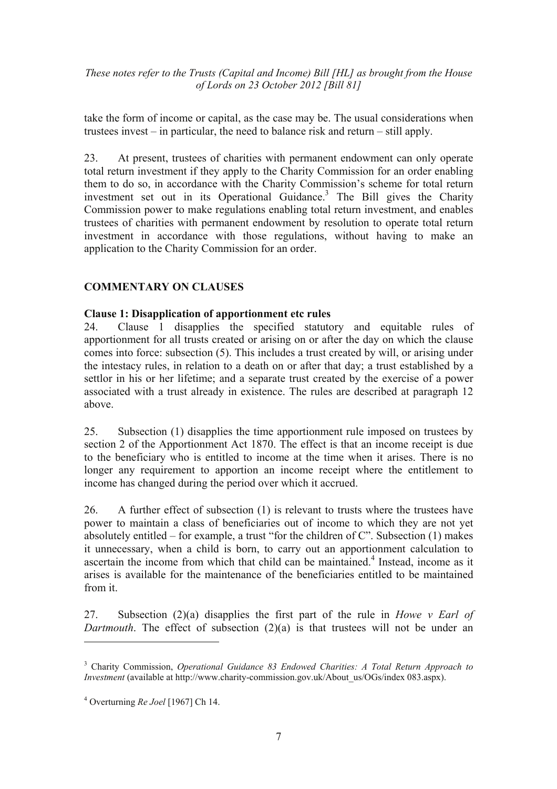take the form of income or capital, as the case may be. The usual considerations when trustees invest – in particular, the need to balance risk and return – still apply.

23. At present, trustees of charities with permanent endowment can only operate total return investment if they apply to the Charity Commission for an order enabling them to do so, in accordance with the Charity Commission's scheme for total return investment set out in its Operational Guidance.<sup>3</sup> The Bill gives the Charity Commission power to make regulations enabling total return investment, and enables trustees of charities with permanent endowment by resolution to operate total return investment in accordance with those regulations, without having to make an application to the Charity Commission for an order.

#### **COMMENTARY ON CLAUSES**

#### **Clause 1: Disapplication of apportionment etc rules**

24. Clause 1 disapplies the specified statutory and equitable rules of apportionment for all trusts created or arising on or after the day on which the clause comes into force: subsection (5). This includes a trust created by will, or arising under the intestacy rules, in relation to a death on or after that day; a trust established by a settlor in his or her lifetime; and a separate trust created by the exercise of a power associated with a trust already in existence. The rules are described at paragraph 12 above.

25. Subsection (1) disapplies the time apportionment rule imposed on trustees by section 2 of the Apportionment Act 1870. The effect is that an income receipt is due to the beneficiary who is entitled to income at the time when it arises. There is no longer any requirement to apportion an income receipt where the entitlement to income has changed during the period over which it accrued.

26. A further effect of subsection (1) is relevant to trusts where the trustees have power to maintain a class of beneficiaries out of income to which they are not yet absolutely entitled – for example, a trust "for the children of C". Subsection (1) makes it unnecessary, when a child is born, to carry out an apportionment calculation to ascertain the income from which that child can be maintained.<sup>4</sup> Instead, income as it arises is available for the maintenance of the beneficiaries entitled to be maintained from it.

27. Subsection (2)(a) disapplies the first part of the rule in *Howe v Earl of Dartmouth*. The effect of subsection (2)(a) is that trustees will not be under an  $\overline{a}$ 

<sup>3</sup> Charity Commission, *Operational Guidance 83 Endowed Charities: A Total Return Approach to Investment* (available at http://www.charity-commission.gov.uk/About\_us/OGs/index 083.aspx).

<sup>4</sup> Overturning *Re Joel* [1967] Ch 14.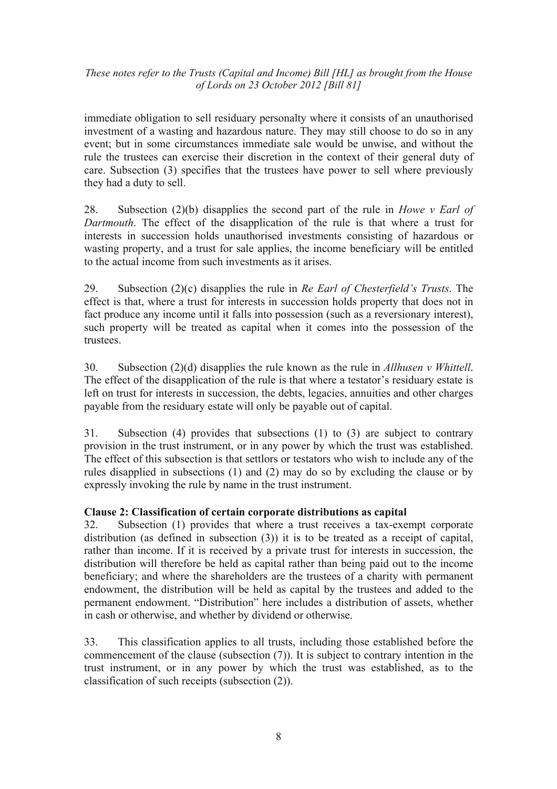immediate obligation to sell residuary personalty where it consists of an unauthorised investment of a wasting and hazardous nature. They may still choose to do so in any event; but in some circumstances immediate sale would be unwise, and without the rule the trustees can exercise their discretion in the context of their general duty of care. Subsection (3) specifies that the trustees have power to sell where previously they had a duty to sell.

28. Subsection (2)(b) disapplies the second part of the rule in *Howe v Earl of Dartmouth*. The effect of the disapplication of the rule is that where a trust for interests in succession holds unauthorised investments consisting of hazardous or wasting property, and a trust for sale applies, the income beneficiary will be entitled to the actual income from such investments as it arises.

29. Subsection (2)(c) disapplies the rule in *Re Earl of Chesterfield's Trusts*. The effect is that, where a trust for interests in succession holds property that does not in fact produce any income until it falls into possession (such as a reversionary interest), such property will be treated as capital when it comes into the possession of the trustees.

30. Subsection (2)(d) disapplies the rule known as the rule in *Allhusen v Whittell*. The effect of the disapplication of the rule is that where a testator's residuary estate is left on trust for interests in succession, the debts, legacies, annuities and other charges payable from the residuary estate will only be payable out of capital.

31. Subsection (4) provides that subsections (1) to (3) are subject to contrary provision in the trust instrument, or in any power by which the trust was established. The effect of this subsection is that settlors or testators who wish to include any of the rules disapplied in subsections (1) and (2) may do so by excluding the clause or by expressly invoking the rule by name in the trust instrument.

#### **Clause 2: Classification of certain corporate distributions as capital**

32. Subsection (1) provides that where a trust receives a tax-exempt corporate distribution (as defined in subsection (3)) it is to be treated as a receipt of capital, rather than income. If it is received by a private trust for interests in succession, the distribution will therefore be held as capital rather than being paid out to the income beneficiary; and where the shareholders are the trustees of a charity with permanent endowment, the distribution will be held as capital by the trustees and added to the permanent endowment. "Distribution" here includes a distribution of assets, whether in cash or otherwise, and whether by dividend or otherwise.

33. This classification applies to all trusts, including those established before the commencement of the clause (subsection (7)). It is subject to contrary intention in the trust instrument, or in any power by which the trust was established, as to the classification of such receipts (subsection (2)).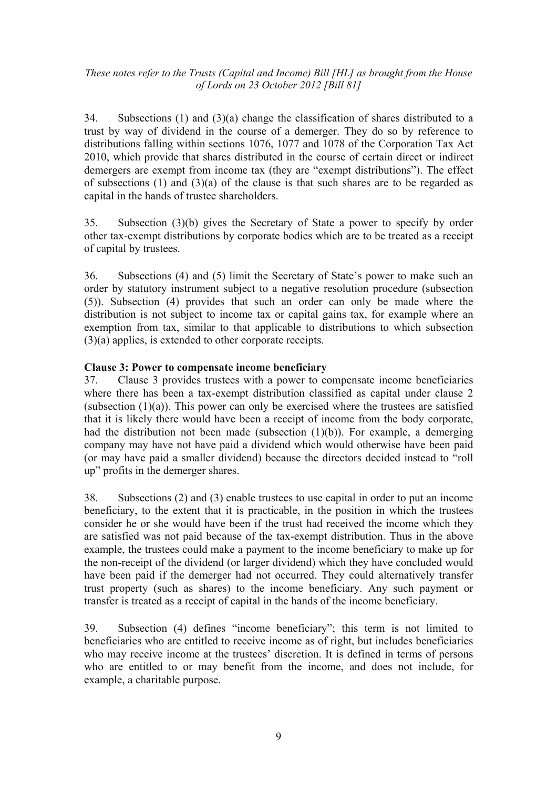34. Subsections (1) and (3)(a) change the classification of shares distributed to a trust by way of dividend in the course of a demerger. They do so by reference to distributions falling within sections 1076, 1077 and 1078 of the Corporation Tax Act 2010, which provide that shares distributed in the course of certain direct or indirect demergers are exempt from income tax (they are "exempt distributions"). The effect of subsections (1) and (3)(a) of the clause is that such shares are to be regarded as capital in the hands of trustee shareholders.

35. Subsection (3)(b) gives the Secretary of State a power to specify by order other tax-exempt distributions by corporate bodies which are to be treated as a receipt of capital by trustees.

36. Subsections (4) and (5) limit the Secretary of State's power to make such an order by statutory instrument subject to a negative resolution procedure (subsection (5)). Subsection (4) provides that such an order can only be made where the distribution is not subject to income tax or capital gains tax, for example where an exemption from tax, similar to that applicable to distributions to which subsection (3)(a) applies, is extended to other corporate receipts.

#### **Clause 3: Power to compensate income beneficiary**

37. Clause 3 provides trustees with a power to compensate income beneficiaries where there has been a tax-exempt distribution classified as capital under clause 2 (subsection  $(1)(a)$ ). This power can only be exercised where the trustees are satisfied that it is likely there would have been a receipt of income from the body corporate, had the distribution not been made (subsection  $(1)(b)$ ). For example, a demerging company may have not have paid a dividend which would otherwise have been paid (or may have paid a smaller dividend) because the directors decided instead to "roll up" profits in the demerger shares.

38. Subsections (2) and (3) enable trustees to use capital in order to put an income beneficiary, to the extent that it is practicable, in the position in which the trustees consider he or she would have been if the trust had received the income which they are satisfied was not paid because of the tax-exempt distribution. Thus in the above example, the trustees could make a payment to the income beneficiary to make up for the non-receipt of the dividend (or larger dividend) which they have concluded would have been paid if the demerger had not occurred. They could alternatively transfer trust property (such as shares) to the income beneficiary. Any such payment or transfer is treated as a receipt of capital in the hands of the income beneficiary.

39. Subsection (4) defines "income beneficiary"; this term is not limited to beneficiaries who are entitled to receive income as of right, but includes beneficiaries who may receive income at the trustees' discretion. It is defined in terms of persons who are entitled to or may benefit from the income, and does not include, for example, a charitable purpose.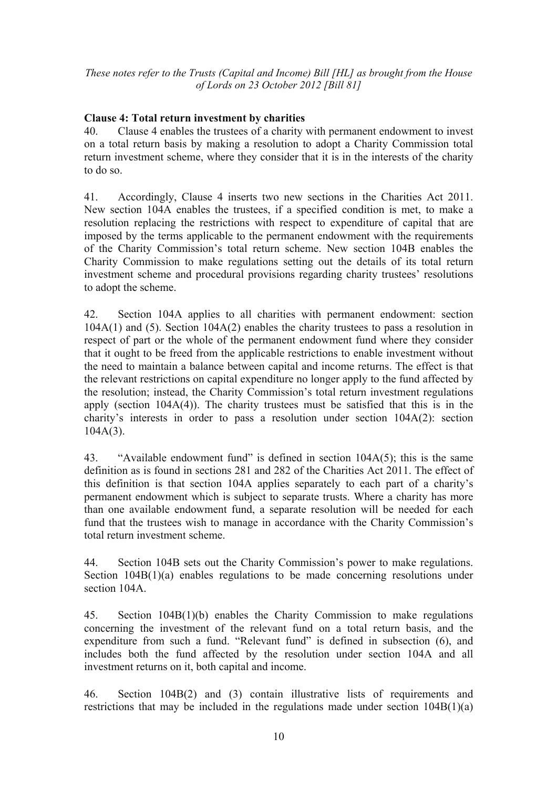#### **Clause 4: Total return investment by charities**

40. Clause 4 enables the trustees of a charity with permanent endowment to invest on a total return basis by making a resolution to adopt a Charity Commission total return investment scheme, where they consider that it is in the interests of the charity to do so.

41. Accordingly, Clause 4 inserts two new sections in the Charities Act 2011. New section 104A enables the trustees, if a specified condition is met, to make a resolution replacing the restrictions with respect to expenditure of capital that are imposed by the terms applicable to the permanent endowment with the requirements of the Charity Commission's total return scheme. New section 104B enables the Charity Commission to make regulations setting out the details of its total return investment scheme and procedural provisions regarding charity trustees' resolutions to adopt the scheme.

42. Section 104A applies to all charities with permanent endowment: section 104A(1) and (5). Section 104A(2) enables the charity trustees to pass a resolution in respect of part or the whole of the permanent endowment fund where they consider that it ought to be freed from the applicable restrictions to enable investment without the need to maintain a balance between capital and income returns. The effect is that the relevant restrictions on capital expenditure no longer apply to the fund affected by the resolution; instead, the Charity Commission's total return investment regulations apply (section 104A(4)). The charity trustees must be satisfied that this is in the charity's interests in order to pass a resolution under section 104A(2): section  $104A(3)$ .

43. "Available endowment fund" is defined in section 104A(5); this is the same definition as is found in sections 281 and 282 of the Charities Act 2011. The effect of this definition is that section 104A applies separately to each part of a charity's permanent endowment which is subject to separate trusts. Where a charity has more than one available endowment fund, a separate resolution will be needed for each fund that the trustees wish to manage in accordance with the Charity Commission's total return investment scheme.

44. Section 104B sets out the Charity Commission's power to make regulations. Section 104B(1)(a) enables regulations to be made concerning resolutions under section 104A

45. Section 104B(1)(b) enables the Charity Commission to make regulations concerning the investment of the relevant fund on a total return basis, and the expenditure from such a fund. "Relevant fund" is defined in subsection (6), and includes both the fund affected by the resolution under section 104A and all investment returns on it, both capital and income.

46. Section 104B(2) and (3) contain illustrative lists of requirements and restrictions that may be included in the regulations made under section 104B(1)(a)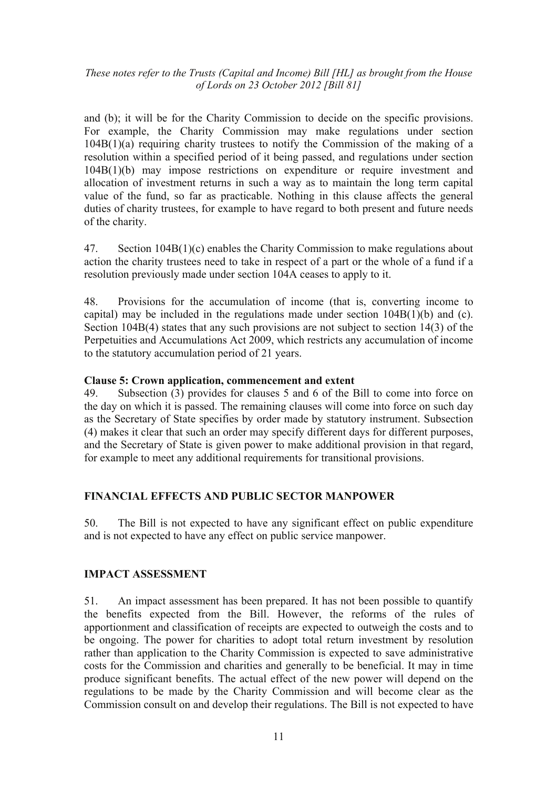and (b); it will be for the Charity Commission to decide on the specific provisions. For example, the Charity Commission may make regulations under section 104B(1)(a) requiring charity trustees to notify the Commission of the making of a resolution within a specified period of it being passed, and regulations under section 104B(1)(b) may impose restrictions on expenditure or require investment and allocation of investment returns in such a way as to maintain the long term capital value of the fund, so far as practicable. Nothing in this clause affects the general duties of charity trustees, for example to have regard to both present and future needs of the charity.

47. Section 104B(1)(c) enables the Charity Commission to make regulations about action the charity trustees need to take in respect of a part or the whole of a fund if a resolution previously made under section 104A ceases to apply to it.

48. Provisions for the accumulation of income (that is, converting income to capital) may be included in the regulations made under section 104B(1)(b) and (c). Section 104B(4) states that any such provisions are not subject to section 14(3) of the Perpetuities and Accumulations Act 2009, which restricts any accumulation of income to the statutory accumulation period of 21 years.

#### **Clause 5: Crown application, commencement and extent**

49. Subsection (3) provides for clauses 5 and 6 of the Bill to come into force on the day on which it is passed. The remaining clauses will come into force on such day as the Secretary of State specifies by order made by statutory instrument. Subsection (4) makes it clear that such an order may specify different days for different purposes, and the Secretary of State is given power to make additional provision in that regard, for example to meet any additional requirements for transitional provisions.

#### **FINANCIAL EFFECTS AND PUBLIC SECTOR MANPOWER**

50. The Bill is not expected to have any significant effect on public expenditure and is not expected to have any effect on public service manpower.

#### **IMPACT ASSESSMENT**

51. An impact assessment has been prepared. It has not been possible to quantify the benefits expected from the Bill. However, the reforms of the rules of apportionment and classification of receipts are expected to outweigh the costs and to be ongoing. The power for charities to adopt total return investment by resolution rather than application to the Charity Commission is expected to save administrative costs for the Commission and charities and generally to be beneficial. It may in time produce significant benefits. The actual effect of the new power will depend on the regulations to be made by the Charity Commission and will become clear as the Commission consult on and develop their regulations. The Bill is not expected to have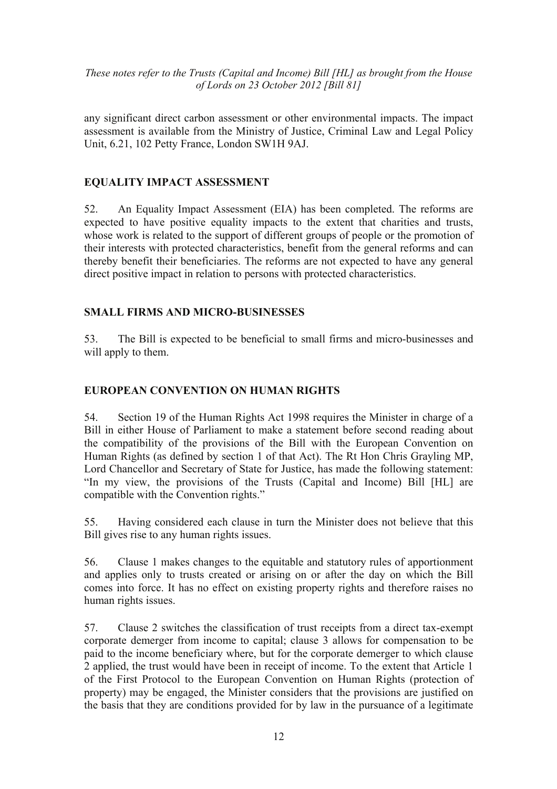any significant direct carbon assessment or other environmental impacts. The impact assessment is available from the Ministry of Justice, Criminal Law and Legal Policy Unit, 6.21, 102 Petty France, London SW1H 9AJ.

#### **EQUALITY IMPACT ASSESSMENT**

52. An Equality Impact Assessment (EIA) has been completed. The reforms are expected to have positive equality impacts to the extent that charities and trusts, whose work is related to the support of different groups of people or the promotion of their interests with protected characteristics, benefit from the general reforms and can thereby benefit their beneficiaries. The reforms are not expected to have any general direct positive impact in relation to persons with protected characteristics.

#### **SMALL FIRMS AND MICRO-BUSINESSES**

53. The Bill is expected to be beneficial to small firms and micro-businesses and will apply to them.

#### **EUROPEAN CONVENTION ON HUMAN RIGHTS**

54. Section 19 of the Human Rights Act 1998 requires the Minister in charge of a Bill in either House of Parliament to make a statement before second reading about the compatibility of the provisions of the Bill with the European Convention on Human Rights (as defined by section 1 of that Act). The Rt Hon Chris Grayling MP, Lord Chancellor and Secretary of State for Justice, has made the following statement: "In my view, the provisions of the Trusts (Capital and Income) Bill [HL] are compatible with the Convention rights."

55. Having considered each clause in turn the Minister does not believe that this Bill gives rise to any human rights issues.

56. Clause 1 makes changes to the equitable and statutory rules of apportionment and applies only to trusts created or arising on or after the day on which the Bill comes into force. It has no effect on existing property rights and therefore raises no human rights issues.

57. Clause 2 switches the classification of trust receipts from a direct tax-exempt corporate demerger from income to capital; clause 3 allows for compensation to be paid to the income beneficiary where, but for the corporate demerger to which clause 2 applied, the trust would have been in receipt of income. To the extent that Article 1 of the First Protocol to the European Convention on Human Rights (protection of property) may be engaged, the Minister considers that the provisions are justified on the basis that they are conditions provided for by law in the pursuance of a legitimate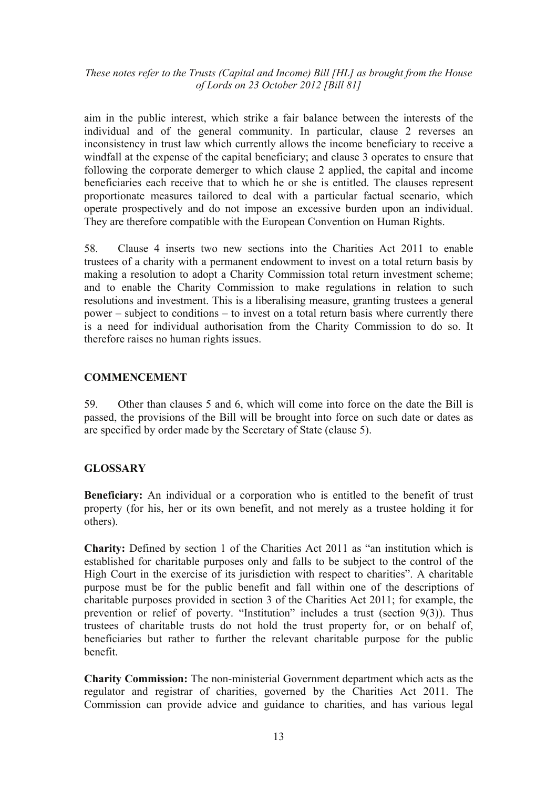aim in the public interest, which strike a fair balance between the interests of the individual and of the general community. In particular, clause 2 reverses an inconsistency in trust law which currently allows the income beneficiary to receive a windfall at the expense of the capital beneficiary; and clause 3 operates to ensure that following the corporate demerger to which clause 2 applied, the capital and income beneficiaries each receive that to which he or she is entitled. The clauses represent proportionate measures tailored to deal with a particular factual scenario, which operate prospectively and do not impose an excessive burden upon an individual. They are therefore compatible with the European Convention on Human Rights.

58. Clause 4 inserts two new sections into the Charities Act 2011 to enable trustees of a charity with a permanent endowment to invest on a total return basis by making a resolution to adopt a Charity Commission total return investment scheme; and to enable the Charity Commission to make regulations in relation to such resolutions and investment. This is a liberalising measure, granting trustees a general power – subject to conditions – to invest on a total return basis where currently there is a need for individual authorisation from the Charity Commission to do so. It therefore raises no human rights issues.

#### **COMMENCEMENT**

59. Other than clauses 5 and 6, which will come into force on the date the Bill is passed, the provisions of the Bill will be brought into force on such date or dates as are specified by order made by the Secretary of State (clause 5).

#### **GLOSSARY**

**Beneficiary:** An individual or a corporation who is entitled to the benefit of trust property (for his, her or its own benefit, and not merely as a trustee holding it for others).

**Charity:** Defined by section 1 of the Charities Act 2011 as "an institution which is established for charitable purposes only and falls to be subject to the control of the High Court in the exercise of its jurisdiction with respect to charities". A charitable purpose must be for the public benefit and fall within one of the descriptions of charitable purposes provided in section 3 of the Charities Act 2011; for example, the prevention or relief of poverty. "Institution" includes a trust (section 9(3)). Thus trustees of charitable trusts do not hold the trust property for, or on behalf of, beneficiaries but rather to further the relevant charitable purpose for the public benefit.

**Charity Commission:** The non-ministerial Government department which acts as the regulator and registrar of charities, governed by the Charities Act 2011. The Commission can provide advice and guidance to charities, and has various legal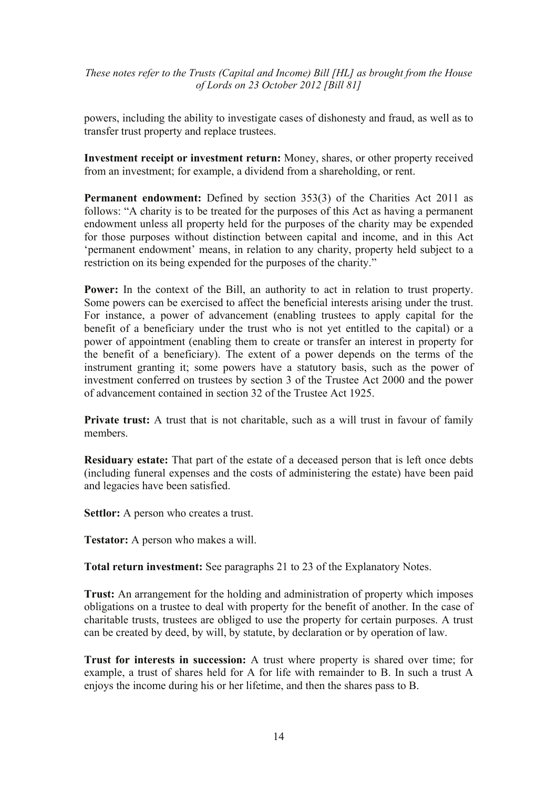powers, including the ability to investigate cases of dishonesty and fraud, as well as to transfer trust property and replace trustees.

**Investment receipt or investment return:** Money, shares, or other property received from an investment; for example, a dividend from a shareholding, or rent.

**Permanent endowment:** Defined by section 353(3) of the Charities Act 2011 as follows: "A charity is to be treated for the purposes of this Act as having a permanent endowment unless all property held for the purposes of the charity may be expended for those purposes without distinction between capital and income, and in this Act 'permanent endowment' means, in relation to any charity, property held subject to a restriction on its being expended for the purposes of the charity."

**Power:** In the context of the Bill, an authority to act in relation to trust property. Some powers can be exercised to affect the beneficial interests arising under the trust. For instance, a power of advancement (enabling trustees to apply capital for the benefit of a beneficiary under the trust who is not yet entitled to the capital) or a power of appointment (enabling them to create or transfer an interest in property for the benefit of a beneficiary). The extent of a power depends on the terms of the instrument granting it; some powers have a statutory basis, such as the power of investment conferred on trustees by section 3 of the Trustee Act 2000 and the power of advancement contained in section 32 of the Trustee Act 1925.

**Private trust:** A trust that is not charitable, such as a will trust in favour of family members.

**Residuary estate:** That part of the estate of a deceased person that is left once debts (including funeral expenses and the costs of administering the estate) have been paid and legacies have been satisfied.

**Settlor:** A person who creates a trust.

**Testator:** A person who makes a will.

**Total return investment:** See paragraphs 21 to 23 of the Explanatory Notes.

**Trust:** An arrangement for the holding and administration of property which imposes obligations on a trustee to deal with property for the benefit of another. In the case of charitable trusts, trustees are obliged to use the property for certain purposes. A trust can be created by deed, by will, by statute, by declaration or by operation of law.

**Trust for interests in succession:** A trust where property is shared over time; for example, a trust of shares held for A for life with remainder to B. In such a trust A enjoys the income during his or her lifetime, and then the shares pass to B.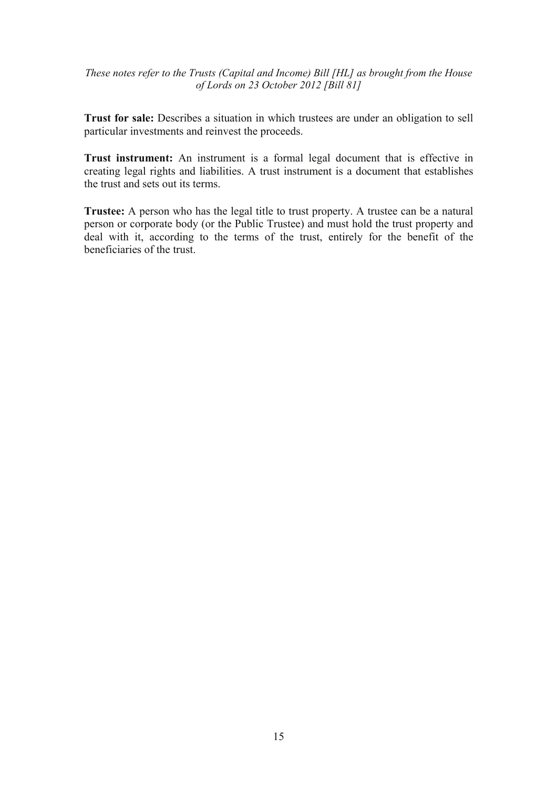**Trust for sale:** Describes a situation in which trustees are under an obligation to sell particular investments and reinvest the proceeds.

**Trust instrument:** An instrument is a formal legal document that is effective in creating legal rights and liabilities. A trust instrument is a document that establishes the trust and sets out its terms.

**Trustee:** A person who has the legal title to trust property. A trustee can be a natural person or corporate body (or the Public Trustee) and must hold the trust property and deal with it, according to the terms of the trust, entirely for the benefit of the beneficiaries of the trust.